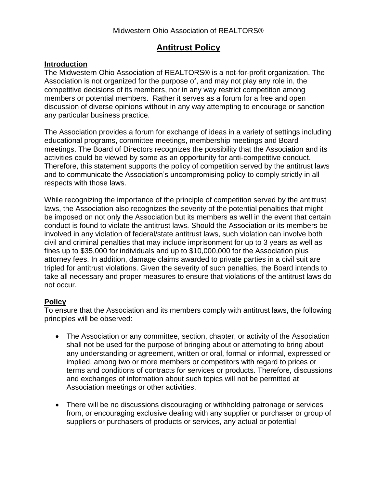## **Antitrust Policy**

## **Introduction**

The Midwestern Ohio Association of REALTORS® is a not-for-profit organization. The Association is not organized for the purpose of, and may not play any role in, the competitive decisions of its members, nor in any way restrict competition among members or potential members. Rather it serves as a forum for a free and open discussion of diverse opinions without in any way attempting to encourage or sanction any particular business practice.

The Association provides a forum for exchange of ideas in a variety of settings including educational programs, committee meetings, membership meetings and Board meetings. The Board of Directors recognizes the possibility that the Association and its activities could be viewed by some as an opportunity for anti-competitive conduct. Therefore, this statement supports the policy of competition served by the antitrust laws and to communicate the Association's uncompromising policy to comply strictly in all respects with those laws.

While recognizing the importance of the principle of competition served by the antitrust laws, the Association also recognizes the severity of the potential penalties that might be imposed on not only the Association but its members as well in the event that certain conduct is found to violate the antitrust laws. Should the Association or its members be involved in any violation of federal/state antitrust laws, such violation can involve both civil and criminal penalties that may include imprisonment for up to 3 years as well as fines up to \$35,000 for individuals and up to \$10,000,000 for the Association plus attorney fees. In addition, damage claims awarded to private parties in a civil suit are tripled for antitrust violations. Given the severity of such penalties, the Board intends to take all necessary and proper measures to ensure that violations of the antitrust laws do not occur.

## **Policy**

To ensure that the Association and its members comply with antitrust laws, the following principles will be observed:

- The Association or any committee, section, chapter, or activity of the Association shall not be used for the purpose of bringing about or attempting to bring about any understanding or agreement, written or oral, formal or informal, expressed or implied, among two or more members or competitors with regard to prices or terms and conditions of contracts for services or products. Therefore, discussions and exchanges of information about such topics will not be permitted at Association meetings or other activities.
- There will be no discussions discouraging or withholding patronage or services from, or encouraging exclusive dealing with any supplier or purchaser or group of suppliers or purchasers of products or services, any actual or potential